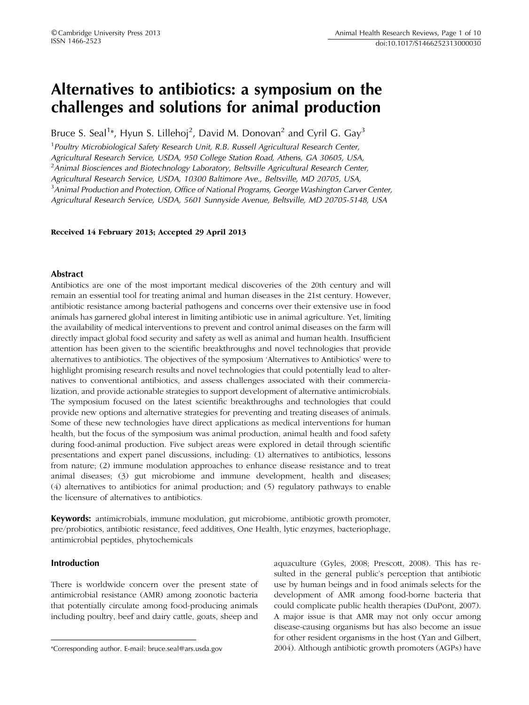# Alternatives to antibiotics: a symposium on the challenges and solutions for animal production

Bruce S. Seal<sup>1</sup>\*, Hyun S. Lillehoj<sup>2</sup>, David M. Donovan<sup>2</sup> and Cyril G. Gay<sup>3</sup>

<sup>1</sup> Poultry Microbiological Safety Research Unit, R.B. Russell Agricultural Research Center,

Agricultural Research Service, USDA, 950 College Station Road, Athens, GA 30605, USA,

 $^2$ Animal Biosciences and Biotechnology Laboratory, Beltsville Agricultural Research Center,

Agricultural Research Service, USDA, 10300 Baltimore Ave., Beltsville, MD 20705, USA,

<sup>3</sup> Animal Production and Protection, Office of National Programs, George Washington Carver Center,

Agricultural Research Service, USDA, 5601 Sunnyside Avenue, Beltsville, MD 20705-5148, USA

# Received 14 February 2013; Accepted 29 April 2013

# Abstract

Antibiotics are one of the most important medical discoveries of the 20th century and will remain an essential tool for treating animal and human diseases in the 21st century. However, antibiotic resistance among bacterial pathogens and concerns over their extensive use in food animals has garnered global interest in limiting antibiotic use in animal agriculture. Yet, limiting the availability of medical interventions to prevent and control animal diseases on the farm will directly impact global food security and safety as well as animal and human health. Insufficient attention has been given to the scientific breakthroughs and novel technologies that provide alternatives to antibiotics. The objectives of the symposium 'Alternatives to Antibiotics' were to highlight promising research results and novel technologies that could potentially lead to alternatives to conventional antibiotics, and assess challenges associated with their commercialization, and provide actionable strategies to support development of alternative antimicrobials. The symposium focused on the latest scientific breakthroughs and technologies that could provide new options and alternative strategies for preventing and treating diseases of animals. Some of these new technologies have direct applications as medical interventions for human health, but the focus of the symposium was animal production, animal health and food safety during food-animal production. Five subject areas were explored in detail through scientific presentations and expert panel discussions, including: (1) alternatives to antibiotics, lessons from nature; (2) immune modulation approaches to enhance disease resistance and to treat animal diseases; (3) gut microbiome and immune development, health and diseases; (4) alternatives to antibiotics for animal production; and (5) regulatory pathways to enable the licensure of alternatives to antibiotics.

**Keywords:** antimicrobials, immune modulation, gut microbiome, antibiotic growth promoter, pre/probiotics, antibiotic resistance, feed additives, One Health, lytic enzymes, bacteriophage, antimicrobial peptides, phytochemicals

# Introduction

There is worldwide concern over the present state of antimicrobial resistance (AMR) among zoonotic bacteria that potentially circulate among food-producing animals including poultry, beef and dairy cattle, goats, sheep and

aquaculture (Gyles, 2008; Prescott, 2008). This has resulted in the general public's perception that antibiotic use by human beings and in food animals selects for the development of AMR among food-borne bacteria that could complicate public health therapies (DuPont, 2007). A major issue is that AMR may not only occur among disease-causing organisms but has also become an issue for other resident organisms in the host (Yan and Gilbert, \*Corresponding author. E-mail: bruce.seal@ars.usda.gov 2004). Although antibiotic growth promoters (AGPs) have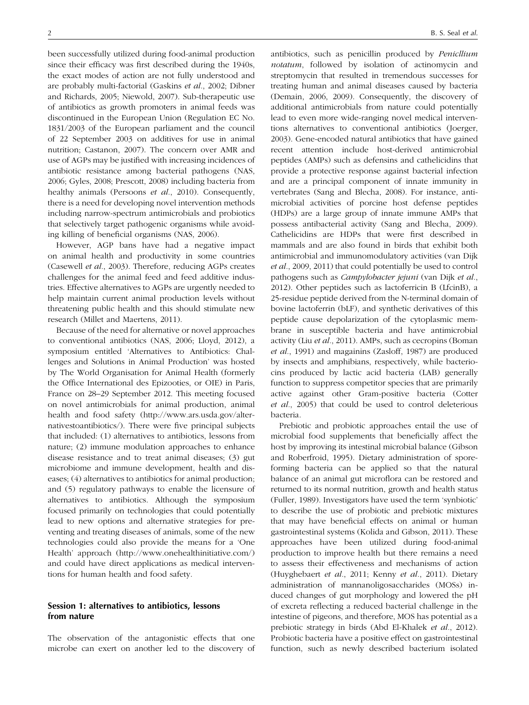been successfully utilized during food-animal production since their efficacy was first described during the 1940s, the exact modes of action are not fully understood and are probably multi-factorial (Gaskins et al., 2002; Dibner and Richards, 2005; Niewold, 2007). Sub-therapeutic use of antibiotics as growth promoters in animal feeds was discontinued in the European Union (Regulation EC No. 1831/2003 of the European parliament and the council of 22 September 2003 on additives for use in animal nutrition; Castanon, 2007). The concern over AMR and use of AGPs may be justified with increasing incidences of antibiotic resistance among bacterial pathogens (NAS, 2006; Gyles, 2008; Prescott, 2008) including bacteria from healthy animals (Persoons et al., 2010). Consequently, there is a need for developing novel intervention methods including narrow-spectrum antimicrobials and probiotics that selectively target pathogenic organisms while avoiding killing of beneficial organisms (NAS, 2006).

However, AGP bans have had a negative impact on animal health and productivity in some countries (Casewell et al., 2003). Therefore, reducing AGPs creates challenges for the animal feed and feed additive industries. Effective alternatives to AGPs are urgently needed to help maintain current animal production levels without threatening public health and this should stimulate new research (Millet and Maertens, 2011).

Because of the need for alternative or novel approaches to conventional antibiotics (NAS, 2006; Lloyd, 2012), a symposium entitled 'Alternatives to Antibiotics: Challenges and Solutions in Animal Production' was hosted by The World Organisation for Animal Health (formerly the Office International des Epizooties, or OIE) in Paris, France on 28–29 September 2012. This meeting focused on novel antimicrobials for animal production, animal health and food safety (http://www.ars.usda.gov/alternativestoantibiotics/). There were five principal subjects that included: (1) alternatives to antibiotics, lessons from nature; (2) immune modulation approaches to enhance disease resistance and to treat animal diseases; (3) gut microbiome and immune development, health and diseases; (4) alternatives to antibiotics for animal production; and (5) regulatory pathways to enable the licensure of alternatives to antibiotics. Although the symposium focused primarily on technologies that could potentially lead to new options and alternative strategies for preventing and treating diseases of animals, some of the new technologies could also provide the means for a 'One Health' approach (http://www.onehealthinitiative.com/) and could have direct applications as medical interventions for human health and food safety.

# Session 1: alternatives to antibiotics, lessons from nature

The observation of the antagonistic effects that one microbe can exert on another led to the discovery of

antibiotics, such as penicillin produced by Penicllium notatum, followed by isolation of actinomycin and streptomycin that resulted in tremendous successes for treating human and animal diseases caused by bacteria (Demain, 2006, 2009). Consequently, the discovery of additional antimicrobials from nature could potentially lead to even more wide-ranging novel medical interventions alternatives to conventional antibiotics (Joerger, 2003). Gene-encoded natural antibiotics that have gained recent attention include host-derived antimicrobial peptides (AMPs) such as defensins and cathelicidins that provide a protective response against bacterial infection and are a principal component of innate immunity in vertebrates (Sang and Blecha, 2008). For instance, antimicrobial activities of porcine host defense peptides (HDPs) are a large group of innate immune AMPs that possess antibacterial activity (Sang and Blecha, 2009). Cathelicidins are HDPs that were first described in mammals and are also found in birds that exhibit both antimicrobial and immunomodulatory activities (van Dijk et al., 2009, 2011) that could potentially be used to control pathogens such as Campylobacter jejuni (van Dijk et al., 2012). Other peptides such as lactoferricin B (LfcinB), a 25-residue peptide derived from the N-terminal domain of bovine lactoferrin (bLF), and synthetic derivatives of this peptide cause depolarization of the cytoplasmic membrane in susceptible bacteria and have antimicrobial activity (Liu et al., 2011). AMPs, such as cecropins (Boman et al., 1991) and magainins (Zasloff, 1987) are produced by insects and amphibians, respectively, while bacteriocins produced by lactic acid bacteria (LAB) generally function to suppress competitor species that are primarily active against other Gram-positive bacteria (Cotter et al., 2005) that could be used to control deleterious bacteria.

Prebiotic and probiotic approaches entail the use of microbial food supplements that beneficially affect the host by improving its intestinal microbial balance (Gibson and Roberfroid, 1995). Dietary administration of sporeforming bacteria can be applied so that the natural balance of an animal gut microflora can be restored and returned to its normal nutrition, growth and health status (Fuller, 1989). Investigators have used the term 'synbiotic' to describe the use of probiotic and prebiotic mixtures that may have beneficial effects on animal or human gastrointestinal systems (Kolida and Gibson, 2011). These approaches have been utilized during food-animal production to improve health but there remains a need to assess their effectiveness and mechanisms of action (Huyghebaert et al., 2011; Kenny et al., 2011). Dietary administration of mannanoligosaccharides (MOSs) induced changes of gut morphology and lowered the pH of excreta reflecting a reduced bacterial challenge in the intestine of pigeons, and therefore, MOS has potential as a prebiotic strategy in birds (Abd El-Khalek et al., 2012). Probiotic bacteria have a positive effect on gastrointestinal function, such as newly described bacterium isolated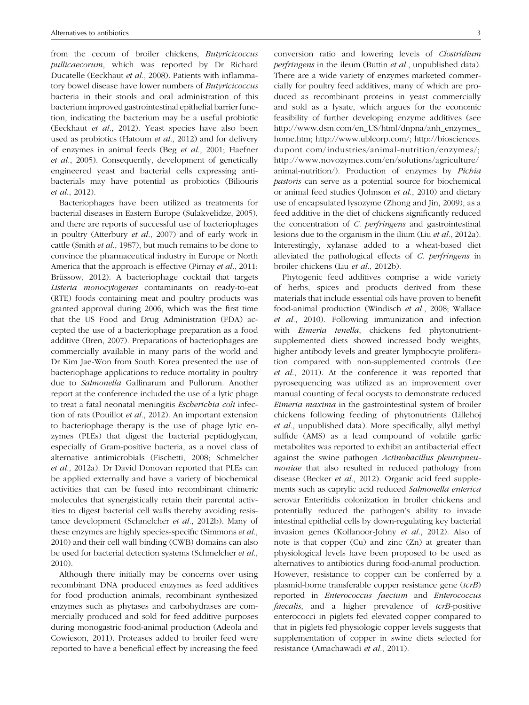from the cecum of broiler chickens, Butyricicoccus pullicaecorum, which was reported by Dr Richard Ducatelle (Eeckhaut et al., 2008). Patients with inflammatory bowel disease have lower numbers of Butyricicoccus bacteria in their stools and oral administration of this bacterium improved gastrointestinal epithelial barrier function, indicating the bacterium may be a useful probiotic (Eeckhaut et al., 2012). Yeast species have also been used as probiotics (Hatoum et al., 2012) and for delivery of enzymes in animal feeds (Beg et al., 2001; Haefner et al., 2005). Consequently, development of genetically engineered yeast and bacterial cells expressing antibacterials may have potential as probiotics (Biliouris et al., 2012).

Bacteriophages have been utilized as treatments for bacterial diseases in Eastern Europe (Sulakvelidze, 2005), and there are reports of successful use of bacteriophages in poultry (Atterbury et al., 2007) and of early work in cattle (Smith et al., 1987), but much remains to be done to convince the pharmaceutical industry in Europe or North America that the approach is effective (Pirnay et al., 2011; Brüssow, 2012). A bacteriophage cocktail that targets Listeria monocytogenes contaminants on ready-to-eat (RTE) foods containing meat and poultry products was granted approval during 2006, which was the first time that the US Food and Drug Administration (FDA) accepted the use of a bacteriophage preparation as a food additive (Bren, 2007). Preparations of bacteriophages are commercially available in many parts of the world and Dr Kim Jae-Won from South Korea presented the use of bacteriophage applications to reduce mortality in poultry due to Salmonella Gallinarum and Pullorum. Another report at the conference included the use of a lytic phage to treat a fatal neonatal meningitis Escherichia coli infection of rats (Pouillot et al., 2012). An important extension to bacteriophage therapy is the use of phage lytic enzymes (PLEs) that digest the bacterial peptidoglycan, especially of Gram-positive bacteria, as a novel class of alternative antimicrobials (Fischetti, 2008; Schmelcher et al., 2012a). Dr David Donovan reported that PLEs can be applied externally and have a variety of biochemical activities that can be fused into recombinant chimeric molecules that synergistically retain their parental activities to digest bacterial cell walls thereby avoiding resistance development (Schmelcher et al., 2012b). Many of these enzymes are highly species-specific (Simmons et al., 2010) and their cell wall binding (CWB) domains can also be used for bacterial detection systems (Schmelcher et al., 2010).

Although there initially may be concerns over using recombinant DNA produced enzymes as feed additives for food production animals, recombinant synthesized enzymes such as phytases and carbohydrases are commercially produced and sold for feed additive purposes during monogastric food-animal production (Adeola and Cowieson, 2011). Proteases added to broiler feed were reported to have a beneficial effect by increasing the feed conversion ratio and lowering levels of Clostridium perfringens in the ileum (Buttin et al., unpublished data). There are a wide variety of enzymes marketed commercially for poultry feed additives, many of which are produced as recombinant proteins in yeast commercially and sold as a lysate, which argues for the economic feasibility of further developing enzyme additives (see http://www.dsm.com/en\_US/html/dnpna/anh\_enzymes\_ home.htm; http://www.ublcorp.com/; http://biosciences. dupont.com/industries/animal-nutrition/enzymes/; http://www.novozymes.com/en/solutions/agriculture/ animal-nutrition/). Production of enzymes by Pichia pastoris can serve as a potential source for biochemical or animal feed studies (Johnson et al., 2010) and dietary use of encapsulated lysozyme (Zhong and Jin, 2009), as a feed additive in the diet of chickens significantly reduced the concentration of C. perfringens and gastrointestinal lesions due to the organism in the ilium (Liu et al., 2012a). Interestingly, xylanase added to a wheat-based diet alleviated the pathological effects of C. perfringens in broiler chickens (Liu et al., 2012b).

Phytogenic feed additives comprise a wide variety of herbs, spices and products derived from these materials that include essential oils have proven to benefit food-animal production (Windisch et al., 2008; Wallace et al., 2010). Following immunization and infection with Eimeria tenella, chickens fed phytonutrientsupplemented diets showed increased body weights, higher antibody levels and greater lymphocyte proliferation compared with non-supplemented controls (Lee et al., 2011). At the conference it was reported that pyrosequencing was utilized as an improvement over manual counting of fecal oocysts to demonstrate reduced Eimeria maxima in the gastrointestinal system of broiler chickens following feeding of phytonutrients (Lillehoj et al., unpublished data). More specifically, allyl methyl sulfide (AMS) as a lead compound of volatile garlic metabolites was reported to exhibit an antibacterial effect against the swine pathogen Actinobacillus pleuropneumoniae that also resulted in reduced pathology from disease (Becker et al., 2012). Organic acid feed supplements such as caprylic acid reduced Salmonella enterica serovar Enteritidis colonization in broiler chickens and potentially reduced the pathogen's ability to invade intestinal epithelial cells by down-regulating key bacterial invasion genes (Kollanoor-Johny et al., 2012). Also of note is that copper (Cu) and zinc (Zn) at greater than physiological levels have been proposed to be used as alternatives to antibiotics during food-animal production. However, resistance to copper can be conferred by a plasmid-borne transferable copper resistance gene (tcrB) reported in Enterococcus faecium and Enterococcus faecalis, and a higher prevalence of tcrB-positive enterococci in piglets fed elevated copper compared to that in piglets fed physiologic copper levels suggests that supplementation of copper in swine diets selected for resistance (Amachawadi et al., 2011).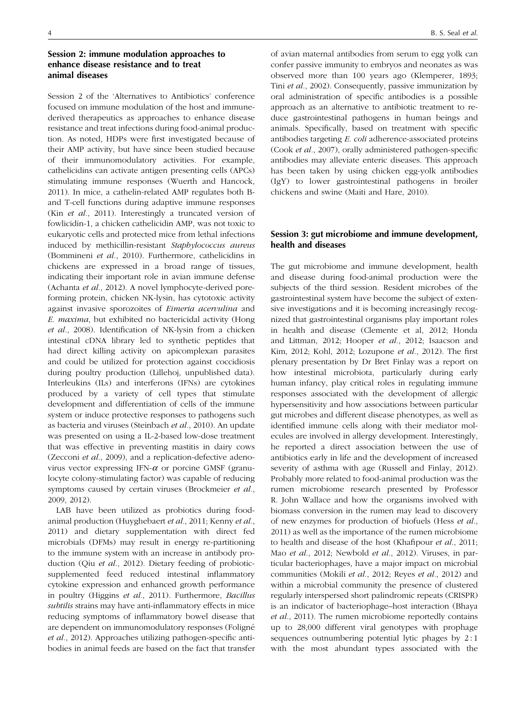# Session 2: immune modulation approaches to enhance disease resistance and to treat animal diseases

Session 2 of the 'Alternatives to Antibiotics' conference focused on immune modulation of the host and immunederived therapeutics as approaches to enhance disease resistance and treat infections during food-animal production. As noted, HDPs were first investigated because of their AMP activity, but have since been studied because of their immunomodulatory activities. For example, cathelicidins can activate antigen presenting cells (APCs) stimulating immune responses (Wuerth and Hancock, 2011). In mice, a cathelin-related AMP regulates both Band T-cell functions during adaptive immune responses (Kin et al., 2011). Interestingly a truncated version of fowlicidin-1, a chicken cathelicidin AMP, was not toxic to eukaryotic cells and protected mice from lethal infections induced by methicillin-resistant Staphylococcus aureus (Bommineni et al., 2010). Furthermore, cathelicidins in chickens are expressed in a broad range of tissues, indicating their important role in avian immune defense (Achanta et al., 2012). A novel lymphocyte-derived poreforming protein, chicken NK-lysin, has cytotoxic activity against invasive sporozoites of Eimeria acervulina and E. maxima, but exhibited no bactericidal activity (Hong et al., 2008). Identification of NK-lysin from a chicken intestinal cDNA library led to synthetic peptides that had direct killing activity on apicomplexan parasites and could be utilized for protection against coccidiosis during poultry production (Lillehoj, unpublished data). Interleukins (ILs) and interferons (IFNs) are cytokines produced by a variety of cell types that stimulate development and differentiation of cells of the immune system or induce protective responses to pathogens such as bacteria and viruses (Steinbach et al., 2010). An update was presented on using a IL-2-based low-dose treatment that was effective in preventing mastitis in dairy cows (Zecconi et al., 2009), and a replication-defective adenovirus vector expressing IFN- $\alpha$  or porcine GMSF (granulocyte colony-stimulating factor) was capable of reducing symptoms caused by certain viruses (Brockmeier et al., 2009, 2012).

LAB have been utilized as probiotics during foodanimal production (Huyghebaert et al., 2011; Kenny et al., 2011) and dietary supplementation with direct fed microbials (DFMs) may result in energy re-partitioning to the immune system with an increase in antibody production (Qiu et al., 2012). Dietary feeding of probioticsupplemented feed reduced intestinal inflammatory cytokine expression and enhanced growth performance in poultry (Higgins et al., 2011). Furthermore, Bacillus subtilis strains may have anti-inflammatory effects in mice reducing symptoms of inflammatory bowel disease that are dependent on immunomodulatory responses (Foligné et al., 2012). Approaches utilizing pathogen-specific antibodies in animal feeds are based on the fact that transfer

of avian maternal antibodies from serum to egg yolk can confer passive immunity to embryos and neonates as was observed more than 100 years ago (Klemperer, 1893; Tini et al., 2002). Consequently, passive immunization by oral administration of specific antibodies is a possible approach as an alternative to antibiotic treatment to reduce gastrointestinal pathogens in human beings and animals. Specifically, based on treatment with specific antibodies targeting E. coli adherence-associated proteins (Cook et al., 2007), orally administered pathogen-specific antibodies may alleviate enteric diseases. This approach has been taken by using chicken egg-yolk antibodies (IgY) to lower gastrointestinal pathogens in broiler chickens and swine (Maiti and Hare, 2010).

# Session 3: gut microbiome and immune development, health and diseases

The gut microbiome and immune development, health and disease during food-animal production were the subjects of the third session. Resident microbes of the gastrointestinal system have become the subject of extensive investigations and it is becoming increasingly recognized that gastrointestinal organisms play important roles in health and disease (Clemente et al, 2012; Honda and Littman, 2012; Hooper et al., 2012; Isaacson and Kim, 2012; Kohl, 2012; Lozupone et al., 2012). The first plenary presentation by Dr Bret Finlay was a report on how intestinal microbiota, particularly during early human infancy, play critical roles in regulating immune responses associated with the development of allergic hypersensitivity and how associations between particular gut microbes and different disease phenotypes, as well as identified immune cells along with their mediator molecules are involved in allergy development. Interestingly, he reported a direct association between the use of antibiotics early in life and the development of increased severity of asthma with age (Russell and Finlay, 2012). Probably more related to food-animal production was the rumen microbiome research presented by Professor R. John Wallace and how the organisms involved with biomass conversion in the rumen may lead to discovery of new enzymes for production of biofuels (Hess et al., 2011) as well as the importance of the rumen microbiome to health and disease of the host (Khafipour et al., 2011; Mao et al., 2012; Newbold et al., 2012). Viruses, in particular bacteriophages, have a major impact on microbial communities (Mokili et al., 2012; Reyes et al., 2012) and within a microbial community the presence of clustered regularly interspersed short palindromic repeats (CRISPR) is an indicator of bacteriophage–host interaction (Bhaya et al., 2011). The rumen microbiome reportedly contains up to 28,000 different viral genotypes with prophage sequences outnumbering potential lytic phages by 2 *:* 1 with the most abundant types associated with the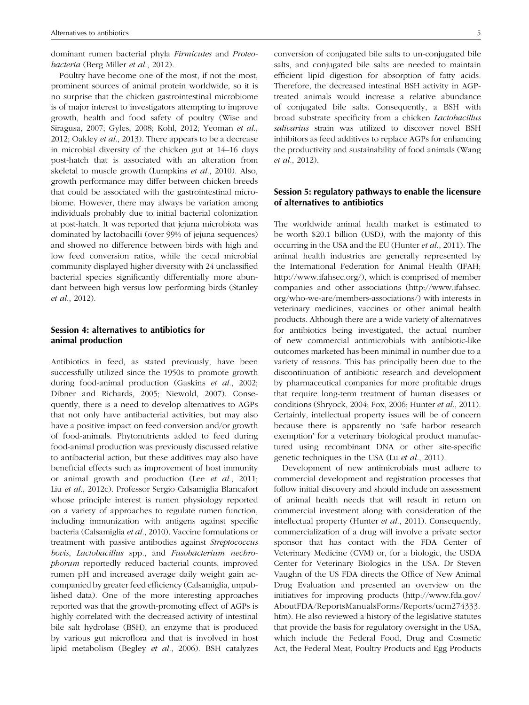dominant rumen bacterial phyla Firmicutes and Proteobacteria (Berg Miller et al., 2012).

Poultry have become one of the most, if not the most, prominent sources of animal protein worldwide, so it is no surprise that the chicken gastrointestinal microbiome is of major interest to investigators attempting to improve growth, health and food safety of poultry (Wise and Siragusa, 2007; Gyles, 2008; Kohl, 2012; Yeoman et al., 2012; Oakley et al., 2013). There appears to be a decrease in microbial diversity of the chicken gut at 14–16 days post-hatch that is associated with an alteration from skeletal to muscle growth (Lumpkins et al., 2010). Also, growth performance may differ between chicken breeds that could be associated with the gastrointestinal microbiome. However, there may always be variation among individuals probably due to initial bacterial colonization at post-hatch. It was reported that jejuna microbiota was dominated by lactobacilli (over 99% of jejuna sequences) and showed no difference between birds with high and low feed conversion ratios, while the cecal microbial community displayed higher diversity with 24 unclassified bacterial species significantly differentially more abundant between high versus low performing birds (Stanley et al., 2012).

# Session 4: alternatives to antibiotics for animal production

Antibiotics in feed, as stated previously, have been successfully utilized since the 1950s to promote growth during food-animal production (Gaskins et al., 2002; Dibner and Richards, 2005; Niewold, 2007). Consequently, there is a need to develop alternatives to AGPs that not only have antibacterial activities, but may also have a positive impact on feed conversion and/or growth of food-animals. Phytonutrients added to feed during food-animal production was previously discussed relative to antibacterial action, but these additives may also have beneficial effects such as improvement of host immunity or animal growth and production (Lee et al., 2011; Liu et al., 2012c). Professor Sergio Calsamiglia Blancafort whose principle interest is rumen physiology reported on a variety of approaches to regulate rumen function, including immunization with antigens against specific bacteria (Calsamiglia et al., 2010). Vaccine formulations or treatment with passive antibodies against Streptococcus bovis, Lactobacillus spp., and Fusobacterium nechrophorum reportedly reduced bacterial counts, improved rumen pH and increased average daily weight gain accompanied by greater feed efficiency (Calsamiglia, unpublished data). One of the more interesting approaches reported was that the growth-promoting effect of AGPs is highly correlated with the decreased activity of intestinal bile salt hydrolase (BSH), an enzyme that is produced by various gut microflora and that is involved in host lipid metabolism (Begley et al., 2006). BSH catalyzes conversion of conjugated bile salts to un-conjugated bile salts, and conjugated bile salts are needed to maintain efficient lipid digestion for absorption of fatty acids. Therefore, the decreased intestinal BSH activity in AGPtreated animals would increase a relative abundance of conjugated bile salts. Consequently, a BSH with broad substrate specificity from a chicken Lactobacillus salivarius strain was utilized to discover novel BSH inhibitors as feed additives to replace AGPs for enhancing the productivity and sustainability of food animals (Wang et al., 2012).

#### Session 5: regulatory pathways to enable the licensure of alternatives to antibiotics

The worldwide animal health market is estimated to be worth \$20.1 billion (USD), with the majority of this occurring in the USA and the EU (Hunter et al., 2011). The animal health industries are generally represented by the International Federation for Animal Health (IFAH; http://www.ifahsec.org/), which is comprised of member companies and other associations (http://www.ifahsec. org/who-we-are/members-associations/) with interests in veterinary medicines, vaccines or other animal health products. Although there are a wide variety of alternatives for antibiotics being investigated, the actual number of new commercial antimicrobials with antibiotic-like outcomes marketed has been minimal in number due to a variety of reasons. This has principally been due to the discontinuation of antibiotic research and development by pharmaceutical companies for more profitable drugs that require long-term treatment of human diseases or conditions (Shryock, 2004; Fox, 2006; Hunter et al., 2011). Certainly, intellectual property issues will be of concern because there is apparently no 'safe harbor research exemption' for a veterinary biological product manufactured using recombinant DNA or other site-specific genetic techniques in the USA (Lu et al., 2011).

Development of new antimicrobials must adhere to commercial development and registration processes that follow initial discovery and should include an assessment of animal health needs that will result in return on commercial investment along with consideration of the intellectual property (Hunter et al., 2011). Consequently, commercialization of a drug will involve a private sector sponsor that has contact with the FDA Center of Veterinary Medicine (CVM) or, for a biologic, the USDA Center for Veterinary Biologics in the USA. Dr Steven Vaughn of the US FDA directs the Office of New Animal Drug Evaluation and presented an overview on the initiatives for improving products (http://www.fda.gov/ AboutFDA/ReportsManualsForms/Reports/ucm274333. htm). He also reviewed a history of the legislative statutes that provide the basis for regulatory oversight in the USA, which include the Federal Food, Drug and Cosmetic Act, the Federal Meat, Poultry Products and Egg Products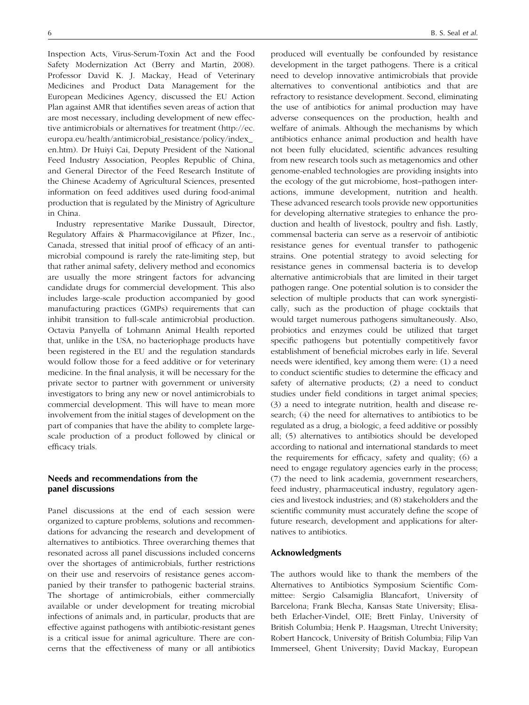Inspection Acts, Virus-Serum-Toxin Act and the Food Safety Modernization Act (Berry and Martin, 2008). Professor David K. J. Mackay, Head of Veterinary Medicines and Product Data Management for the European Medicines Agency, discussed the EU Action Plan against AMR that identifies seven areas of action that are most necessary, including development of new effective antimicrobials or alternatives for treatment (http://ec. europa.eu/health/antimicrobial\_resistance/policy/index\_ en.htm). Dr Huiyi Cai, Deputy President of the National Feed Industry Association, Peoples Republic of China, and General Director of the Feed Research Institute of the Chinese Academy of Agricultural Sciences, presented information on feed additives used during food-animal production that is regulated by the Ministry of Agriculture in China.

Industry representative Marike Dussault, Director, Regulatory Affairs & Pharmacovigilance at Pfizer, Inc., Canada, stressed that initial proof of efficacy of an antimicrobial compound is rarely the rate-limiting step, but that rather animal safety, delivery method and economics are usually the more stringent factors for advancing candidate drugs for commercial development. This also includes large-scale production accompanied by good manufacturing practices (GMPs) requirements that can inhibit transition to full-scale antimicrobial production. Octavia Panyella of Lohmann Animal Health reported that, unlike in the USA, no bacteriophage products have been registered in the EU and the regulation standards would follow those for a feed additive or for veterinary medicine. In the final analysis, it will be necessary for the private sector to partner with government or university investigators to bring any new or novel antimicrobials to commercial development. This will have to mean more involvement from the initial stages of development on the part of companies that have the ability to complete largescale production of a product followed by clinical or efficacy trials.

# Needs and recommendations from the panel discussions

Panel discussions at the end of each session were organized to capture problems, solutions and recommendations for advancing the research and development of alternatives to antibiotics. Three overarching themes that resonated across all panel discussions included concerns over the shortages of antimicrobials, further restrictions on their use and reservoirs of resistance genes accompanied by their transfer to pathogenic bacterial strains. The shortage of antimicrobials, either commercially available or under development for treating microbial infections of animals and, in particular, products that are effective against pathogens with antibiotic-resistant genes is a critical issue for animal agriculture. There are concerns that the effectiveness of many or all antibiotics

produced will eventually be confounded by resistance development in the target pathogens. There is a critical need to develop innovative antimicrobials that provide alternatives to conventional antibiotics and that are refractory to resistance development. Second, eliminating the use of antibiotics for animal production may have adverse consequences on the production, health and welfare of animals. Although the mechanisms by which antibiotics enhance animal production and health have not been fully elucidated, scientific advances resulting from new research tools such as metagenomics and other genome-enabled technologies are providing insights into the ecology of the gut microbiome, host–pathogen interactions, immune development, nutrition and health. These advanced research tools provide new opportunities for developing alternative strategies to enhance the production and health of livestock, poultry and fish. Lastly, commensal bacteria can serve as a reservoir of antibiotic resistance genes for eventual transfer to pathogenic strains. One potential strategy to avoid selecting for resistance genes in commensal bacteria is to develop alternative antimicrobials that are limited in their target pathogen range. One potential solution is to consider the selection of multiple products that can work synergistically, such as the production of phage cocktails that would target numerous pathogens simultaneously. Also, probiotics and enzymes could be utilized that target specific pathogens but potentially competitively favor establishment of beneficial microbes early in life. Several needs were identified, key among them were: (1) a need to conduct scientific studies to determine the efficacy and safety of alternative products; (2) a need to conduct studies under field conditions in target animal species; (3) a need to integrate nutrition, health and disease research; (4) the need for alternatives to antibiotics to be regulated as a drug, a biologic, a feed additive or possibly all; (5) alternatives to antibiotics should be developed according to national and international standards to meet the requirements for efficacy, safety and quality; (6) a need to engage regulatory agencies early in the process; (7) the need to link academia, government researchers, feed industry, pharmaceutical industry, regulatory agencies and livestock industries; and (8) stakeholders and the scientific community must accurately define the scope of future research, development and applications for alternatives to antibiotics.

#### Acknowledgments

The authors would like to thank the members of the Alternatives to Antibiotics Symposium Scientific Committee: Sergio Calsamiglia Blancafort, University of Barcelona; Frank Blecha, Kansas State University; Elisabeth Erlacher-Vindel, OIE; Brett Finlay, University of British Columbia; Henk P. Haagsman, Utrecht University; Robert Hancock, University of British Columbia; Filip Van Immerseel, Ghent University; David Mackay, European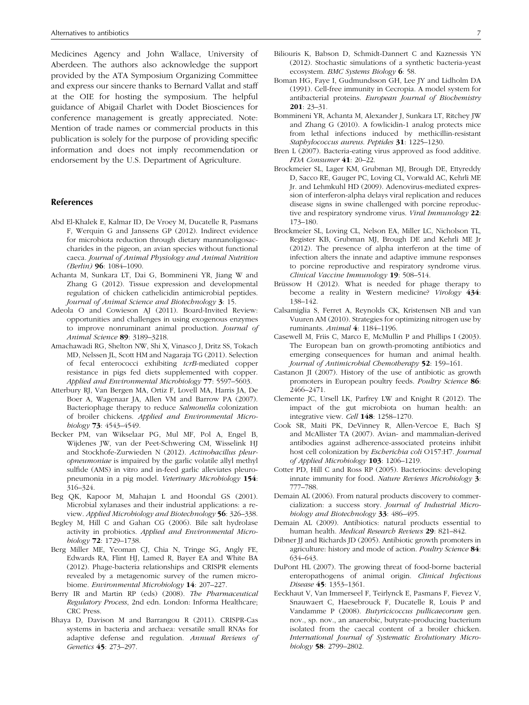Medicines Agency and John Wallace, University of Aberdeen. The authors also acknowledge the support provided by the ATA Symposium Organizing Committee and express our sincere thanks to Bernard Vallat and staff at the OIE for hosting the symposium. The helpful guidance of Abigail Charlet with Dodet Biosciences for conference management is greatly appreciated. Note: Mention of trade names or commercial products in this publication is solely for the purpose of providing specific information and does not imply recommendation or endorsement by the U.S. Department of Agriculture.

#### References

- Abd El-Khalek E, Kalmar ID, De Vroey M, Ducatelle R, Pasmans F, Werquin G and Janssens GP (2012). Indirect evidence for microbiota reduction through dietary mannanoligosaccharides in the pigeon, an avian species without functional caeca. Journal of Animal Physiology and Animal Nutrition (Berlin) 96: 1084–1090.
- Achanta M, Sunkara LT, Dai G, Bommineni YR, Jiang W and Zhang G (2012). Tissue expression and developmental regulation of chicken cathelicidin antimicrobial peptides. Journal of Animal Science and Biotechnology 3: 15.
- Adeola O and Cowieson AJ (2011). Board-Invited Review: opportunities and challenges in using exogenous enzymes to improve nonruminant animal production. Journal of Animal Science 89: 3189–3218.
- Amachawadi RG, Shelton NW, Shi X, Vinasco J, Dritz SS, Tokach MD, Nelssen JL, Scott HM and Nagaraja TG (2011). Selection of fecal enterococci exhibiting tcrB-mediated copper resistance in pigs fed diets supplemented with copper. Applied and Environmental Microbiology 77: 5597–5603.
- Atterbury RJ, Van Bergen MA, Ortiz F, Lovell MA, Harris JA, De Boer A, Wagenaar JA, Allen VM and Barrow PA (2007). Bacteriophage therapy to reduce Salmonella colonization of broiler chickens. Applied and Environmental Microbiology 73: 4543–4549.
- Becker PM, van Wikselaar PG, Mul MF, Pol A, Engel B, Wijdenes JW, van der Peet-Schwering CM, Wisselink HJ and Stockhofe-Zurwieden N (2012). Actinobacillus pleuropneumoniae is impaired by the garlic volatile allyl methyl sulfide (AMS) in vitro and in-feed garlic alleviates pleuropneumonia in a pig model. Veterinary Microbiology 154: 316–324.
- Beg QK, Kapoor M, Mahajan L and Hoondal GS (2001). Microbial xylanases and their industrial applications: a review. Applied Microbiology and Biotechnology 56: 326–338.
- Begley M, Hill C and Gahan CG (2006). Bile salt hydrolase activity in probiotics. Applied and Environmental Microbiology 72: 1729–1738.
- Berg Miller ME, Yeoman CJ, Chia N, Tringe SG, Angly FE, Edwards RA, Flint HJ, Lamed R, Bayer EA and White BA (2012). Phage-bacteria relationships and CRISPR elements revealed by a metagenomic survey of the rumen microbiome. Environmental Microbiology 14: 207–227.
- Berry IR and Martin RP (eds) (2008). The Pharmaceutical Regulatory Process, 2nd edn. London: Informa Healthcare; CRC Press.
- Bhaya D, Davison M and Barrangou R (2011). CRISPR-Cas systems in bacteria and archaea: versatile small RNAs for adaptive defense and regulation. Annual Reviews of Genetics 45: 273–297.
- Biliouris K, Babson D, Schmidt-Dannert C and Kaznessis YN (2012). Stochastic simulations of a synthetic bacteria-yeast ecosystem. BMC Systems Biology 6: 58.
- Boman HG, Faye I, Gudmundsson GH, Lee JY and Lidholm DA (1991). Cell-free immunity in Cecropia. A model system for antibacterial proteins. European Journal of Biochemistry 201: 23–31.
- Bommineni YR, Achanta M, Alexander J, Sunkara LT, Ritchey JW and Zhang G (2010). A fowlicidin-1 analog protects mice from lethal infections induced by methicillin-resistant Staphylococcus aureus. Peptides 31: 1225–1230.
- Bren L (2007). Bacteria-eating virus approved as food additive. FDA Consumer 41: 20–22.
- Brockmeier SL, Lager KM, Grubman MJ, Brough DE, Ettyreddy D, Sacco RE, Gauger PC, Loving CL, Vorwald AC, Kehrli ME Jr. and Lehmkuhl HD (2009). Adenovirus-mediated expression of interferon-alpha delays viral replication and reduces disease signs in swine challenged with porcine reproductive and respiratory syndrome virus. Viral Immunology 22: 173–180.
- Brockmeier SL, Loving CL, Nelson EA, Miller LC, Nicholson TL, Register KB, Grubman MJ, Brough DE and Kehrli ME Jr (2012). The presence of alpha interferon at the time of infection alters the innate and adaptive immune responses to porcine reproductive and respiratory syndrome virus. Clinical Vaccine Immunology 19: 508–514.
- Brüssow H (2012). What is needed for phage therapy to become a reality in Western medicine? Virology 434: 138–142.
- Calsamiglia S, Ferret A, Reynolds CK, Kristensen NB and van Vuuren AM (2010). Strategies for optimizing nitrogen use by ruminants. Animal 4: 1184–1196.
- Casewell M, Friis C, Marco E, McMullin P and Phillips I (2003). The European ban on growth-promoting antibiotics and emerging consequences for human and animal health. Journal of Antimicrobial Chemotherapy 52: 159-161.
- Castanon JI (2007). History of the use of antibiotic as growth promoters in European poultry feeds. Poultry Science 86: 2466–2471.
- Clemente JC, Ursell LK, Parfrey LW and Knight R (2012). The impact of the gut microbiota on human health: an integrative view. Cell 148: 1258–1270.
- Cook SR, Maiti PK, DeVinney R, Allen-Vercoe E, Bach SJ and McAllister TA (2007). Avian- and mammalian-derived antibodies against adherence-associated proteins inhibit host cell colonization by Escherichia coli O157:H7. Journal of Applied Microbiology 103: 1206–1219.
- Cotter PD, Hill C and Ross RP (2005). Bacteriocins: developing innate immunity for food. Nature Reviews Microbiology 3: 777–788.
- Demain AL (2006). From natural products discovery to commercialization: a success story. Journal of Industrial Microbiology and Biotechnology 33: 486–495.
- Demain AL (2009). Antibiotics: natural products essential to human health. Medical Research Reviews 29: 821–842.
- Dibner JJ and Richards JD (2005). Antibiotic growth promoters in agriculture: history and mode of action. Poultry Science 84: 634–643.
- DuPont HL (2007). The growing threat of food-borne bacterial enteropathogens of animal origin. Clinical Infectious Disease 45: 1353–1361.
- Eeckhaut V, Van Immerseel F, Teirlynck E, Pasmans F, Fievez V, Snauwaert C, Haesebrouck F, Ducatelle R, Louis P and Vandamme P (2008). Butyricicoccus pullicaecorum gen. nov., sp. nov., an anaerobic, butyrate-producing bacterium isolated from the caecal content of a broiler chicken. International Journal of Systematic Evolutionary Microbiology 58: 2799–2802.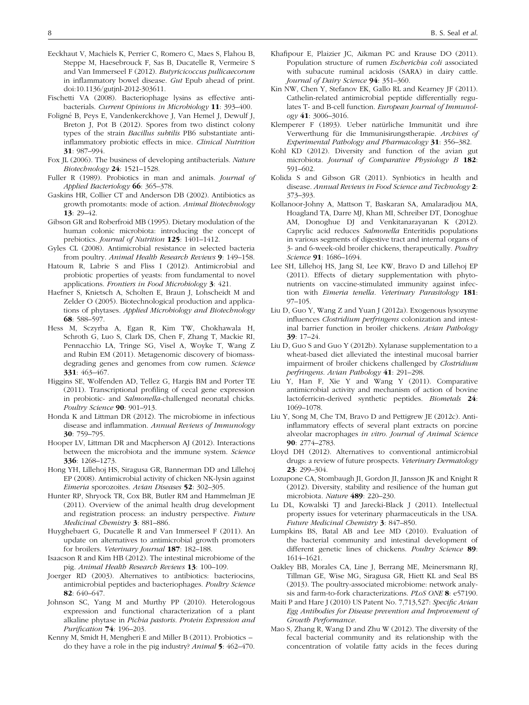- Eeckhaut V, Machiels K, Perrier C, Romero C, Maes S, Flahou B, Steppe M, Haesebrouck F, Sas B, Ducatelle R, Vermeire S and Van Immerseel F (2012). Butyricicoccus pullicaecorum in inflammatory bowel disease. Gut Epub ahead of print. doi:10.1136/gutjnl-2012-303611.
- Fischetti VA (2008). Bacteriophage lysins as effective antibacterials. Current Opinions in Microbiology 11: 393–400.
- Foligné B, Peys E, Vandenkerckhove J, Van Hemel J, Dewulf J, Breton J, Pot B (2012). Spores from two distinct colony types of the strain Bacillus subtilis PB6 substantiate antiinflammatory probiotic effects in mice. Clinical Nutrition 31: 987–994.
- Fox JL (2006). The business of developing antibacterials. Nature Biotechnology 24: 1521–1528.
- Fuller R (1989). Probiotics in man and animals. Journal of Applied Bacteriology 66: 365-378.
- Gaskins HR, Collier CT and Anderson DB (2002). Antibiotics as growth promotants: mode of action. Animal Biotechnology 13: 29–42.
- Gibson GR and Roberfroid MB (1995). Dietary modulation of the human colonic microbiota: introducing the concept of prebiotics. Journal of Nutrition 125: 1401-1412.
- Gyles CL (2008). Antimicrobial resistance in selected bacteria from poultry. Animal Health Research Reviews 9: 149-158.
- Hatoum R, Labrie S and Fliss I (2012). Antimicrobial and probiotic properties of yeasts: from fundamental to novel applications. Frontiers in Food Microbiology 3: 421.
- Haefner S, Knietsch A, Scholten E, Braun J, Lohscheidt M and Zelder O (2005). Biotechnological production and applications of phytases. Applied Microbiology and Biotechnology 68: 588–597.
- Hess M, Sczyrba A, Egan R, Kim TW, Chokhawala H, Schroth G, Luo S, Clark DS, Chen F, Zhang T, Mackie RI, Pennacchio LA, Tringe SG, Visel A, Woyke T, Wang Z and Rubin EM (2011). Metagenomic discovery of biomassdegrading genes and genomes from cow rumen. Science 331: 463–467.
- Higgins SE, Wolfenden AD, Tellez G, Hargis BM and Porter TE (2011). Transcriptional profiling of cecal gene expression in probiotic- and Salmonella-challenged neonatal chicks. Poultry Science 90: 901–913.
- Honda K and Littman DR (2012). The microbiome in infectious disease and inflammation. Annual Reviews of Immunology 30: 759–795.
- Hooper LV, Littman DR and Macpherson AJ (2012). Interactions between the microbiota and the immune system. Science 336: 1268–1273.
- Hong YH, Lillehoj HS, Siragusa GR, Bannerman DD and Lillehoj EP (2008). Antimicrobial activity of chicken NK-lysin against Eimeria sporozoites. Avian Diseases 52: 302–305.
- Hunter RP, Shryock TR, Cox BR, Butler RM and Hammelman JE (2011). Overview of the animal health drug development and registration process: an industry perspective. Future Medicinal Chemistry 3: 881-886.
- Huyghebaert G, Ducatelle R and Van Immerseel F (2011). An update on alternatives to antimicrobial growth promoters for broilers. Veterinary Journal 187: 182–188.
- Isaacson R and Kim HB (2012). The intestinal microbiome of the pig. Animal Health Research Reviews 13: 100–109.
- Joerger RD (2003). Alternatives to antibiotics: bacteriocins, antimicrobial peptides and bacteriophages. Poultry Science 82: 640–647.
- Johnson SC, Yang M and Murthy PP (2010). Heterologous expression and functional characterization of a plant alkaline phytase in Pichia pastoris. Protein Expression and Purification 74: 196–203.
- Kenny M, Smidt H, Mengheri E and Miller B (2011). Probiotics do they have a role in the pig industry? Animal 5: 462–470.
- Khafipour E, Plaizier JC, Aikman PC and Krause DO (2011). Population structure of rumen Escherichia coli associated with subacute ruminal acidosis (SARA) in dairy cattle. Journal of Dairy Science 94: 351–360.
- Kin NW, Chen Y, Stefanov EK, Gallo RL and Kearney JF (2011). Cathelin-related antimicrobial peptide differentially regulates T- and B-cell function. European Journal of Immunology 41: 3006–3016.
- Klemperer F (1893). Ueber natürliche Immunität und ihre Verwerthung für die Immunisirungstherapie. Archives of Experimental Pathology and Pharmacology 31: 356–382.
- Kohl KD (2012). Diversity and function of the avian gut microbiota. Journal of Comparative Physiology B 182: 591–602.
- Kolida S and Gibson GR (2011). Synbiotics in health and disease. Annual Reviews in Food Science and Technology 2: 373–393.
- Kollanoor-Johny A, Mattson T, Baskaran SA, Amalaradjou MA, Hoagland TA, Darre MJ, Khan MI, Schreiber DT, Donoghue AM, Donoghue DJ and Venkitanarayanan K (2012). Caprylic acid reduces Salmonella Enteritidis populations in various segments of digestive tract and internal organs of 3- and 6-week-old broiler chickens, therapeutically. Poultry Science **91**: 1686–1694.
- Lee SH, Lillehoj HS, Jang SI, Lee KW, Bravo D and Lillehoj EP (2011). Effects of dietary supplementation with phytonutrients on vaccine-stimulated immunity against infection with Eimeria tenella. Veterinary Parasitology 181: 97–105.
- Liu D, Guo Y, Wang Z and Yuan J (2012a). Exogenous lysozyme influences Clostridium perfringens colonization and intestinal barrier function in broiler chickens. Avian Pathology 39: 17–24.
- Liu D, Guo S and Guo Y (2012b). Xylanase supplementation to a wheat-based diet alleviated the intestinal mucosal barrier impairment of broiler chickens challenged by Clostridium perfringens. Avian Pathology 41: 291–298.
- Liu Y, Han F, Xie Y and Wang Y (2011). Comparative antimicrobial activity and mechanism of action of bovine lactoferricin-derived synthetic peptides. Biometals 24: 1069–1078.
- Liu Y, Song M, Che TM, Bravo D and Pettigrew JE (2012c). Antiinflammatory effects of several plant extracts on porcine alveolar macrophages in vitro. Journal of Animal Science 90: 2774–2783.
- Lloyd DH (2012). Alternatives to conventional antimicrobial drugs: a review of future prospects. Veterinary Dermatology 23: 299–304.
- Lozupone CA, Stombaugh JI, Gordon JI, Jansson JK and Knight R (2012). Diversity, stability and resilience of the human gut microbiota. Nature 489: 220–230.
- Lu DL, Kowalski TJ and Jarecki-Black J (2011). Intellectual property issues for veterinary pharmaceuticals in the USA. Future Medicinal Chemistry 3: 847–850.
- Lumpkins BS, Batal AB and Lee MD (2010). Evaluation of the bacterial community and intestinal development of different genetic lines of chickens. Poultry Science 89: 1614–1621.
- Oakley BB, Morales CA, Line J, Berrang ME, Meinersmann RJ, Tillman GE, Wise MG, Siragusa GR, Hiett KL and Seal BS (2013). The poultry-associated microbiome: network analysis and farm-to-fork characterizations. PLoS ONE 8: e57190.
- Maiti P and Hare J (2010) US Patent No. 7,713,527: Specific Avian Egg Antibodies for Disease prevention and Improvement of Growth Performance.
- Mao S, Zhang R, Wang D and Zhu W (2012). The diversity of the fecal bacterial community and its relationship with the concentration of volatile fatty acids in the feces during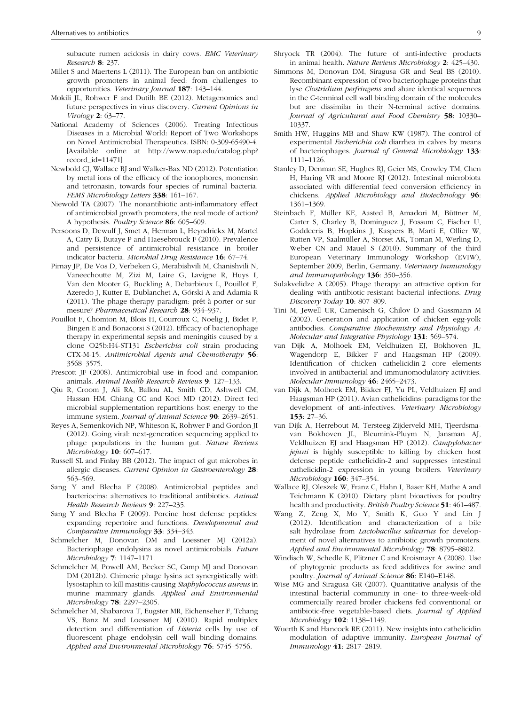subacute rumen acidosis in dairy cows. BMC Veterinary Research 8: 237.

- Millet S and Maertens L (2011). The European ban on antibiotic growth promoters in animal feed: from challenges to opportunities. Veterinary Journal 187: 143–144.
- Mokili JL, Rohwer F and Dutilh BE (2012). Metagenomics and future perspectives in virus discovery. Current Opinions in Virology 2: 63–77.
- National Academy of Sciences (2006). Treating Infectious Diseases in a Microbial World: Report of Two Workshops on Novel Antimicrobial Therapeutics. ISBN: 0-309-65490-4. [Available online at http://www.nap.edu/catalog.php? record\_id=11471]
- Newbold CJ, Wallace RJ and Walker-Bax ND (2012). Potentiation by metal ions of the efficacy of the ionophores, monensin and tetronasin, towards four species of ruminal bacteria. FEMS Microbiology Letters 338: 161–167.
- Niewold TA (2007). The nonantibiotic anti-inflammatory effect of antimicrobial growth promoters, the real mode of action? A hypothesis. Poultry Science 86: 605–609.
- Persoons D, Dewulf J, Smet A, Herman L, Heyndrickx M, Martel A, Catry B, Butaye P and Haesebrouck F (2010). Prevalence and persistence of antimicrobial resistance in broiler indicator bacteria. Microbial Drug Resistance 16: 67–74.
- Pirnay JP, De Vos D, Verbeken G, Merabishvili M, Chanishvili N, Vaneechoutte M, Zizi M, Laire G, Lavigne R, Huys I, Van den Mooter G, Buckling A, Debarbieux L, Pouillot F, Azeredo J, Kutter E, Dublanchet A, Górski A and Adamia R (2011). The phage therapy paradigm: prêt-à-porter or surmesure? Pharmaceutical Research 28: 934-937.
- Pouillot F, Chomton M, Blois H, Courroux C, Noelig J, Bidet P, Bingen E and Bonacorsi S (2012). Efficacy of bacteriophage therapy in experimental sepsis and meningitis caused by a clone O25b:H4-ST131 Escherichia coli strain producing CTX-M-15. Antimicrobial Agents and Chemotherapy 56: 3568–3575.
- Prescott JF (2008). Antimicrobial use in food and companion animals. Animal Health Research Reviews 9: 127–133.
- Qiu R, Croom J, Ali RA, Ballou AL, Smith CD, Ashwell CM, Hassan HM, Chiang CC and Koci MD (2012). Direct fed microbial supplementation repartitions host energy to the immune system. *Journal of Animal Science* **90**: 2639–2651.
- Reyes A, Semenkovich NP, Whiteson K, Rohwer F and Gordon JI (2012). Going viral: next-generation sequencing applied to phage populations in the human gut. Nature Reviews Microbiology  $10:607-617$ .
- Russell SL and Finlay BB (2012). The impact of gut microbes in allergic diseases. Current Opinion in Gastroenterology 28: 563–569.
- Sang Y and Blecha F (2008). Antimicrobial peptides and bacteriocins: alternatives to traditional antibiotics. Animal Health Research Reviews 9: 227–235.
- Sang Y and Blecha F (2009). Porcine host defense peptides: expanding repertoire and functions. Developmental and Comparative Immunology 33: 334–343.
- Schmelcher M, Donovan DM and Loessner MJ (2012a). Bacteriophage endolysins as novel antimicrobials. Future Microbiology 7: 1147–1171.
- Schmelcher M, Powell AM, Becker SC, Camp MJ and Donovan DM (2012b). Chimeric phage lysins act synergistically with lysostaphin to kill mastitis-causing Staphylococcus aureus in murine mammary glands. Applied and Environmental Microbiology 78: 2297–2305.
- Schmelcher M, Shabarova T, Eugster MR, Eichenseher F, Tchang VS, Banz M and Loessner MJ (2010). Rapid multiplex detection and differentiation of Listeria cells by use of fluorescent phage endolysin cell wall binding domains. Applied and Environmental Microbiology 76: 5745–5756.
- Shryock TR (2004). The future of anti-infective products in animal health. Nature Reviews Microbiology 2: 425–430.
- Simmons M, Donovan DM, Siragusa GR and Seal BS (2010). Recombinant expression of two bacteriophage proteins that lyse Clostridium perfringens and share identical sequences in the C-terminal cell wall binding domain of the molecules but are dissimilar in their N-terminal active domains. Journal of Agricultural and Food Chemistry 58: 10330-10337.
- Smith HW, Huggins MB and Shaw KW (1987). The control of experimental Escherichia coli diarrhea in calves by means of bacteriophages. Journal of General Microbiology 133: 1111–1126.
- Stanley D, Denman SE, Hughes RJ, Geier MS, Crowley TM, Chen H, Haring VR and Moore RJ (2012). Intestinal microbiota associated with differential feed conversion efficiency in chickens. Applied Microbiology and Biotechnology 96: 1361–1369.
- Steinbach F, Müller KE, Aasted B, Amadori M, Büttner M, Carter S, Charley B, Dominguez J, Fossum C, Fischer U, Goddeeris B, Hopkins J, Kaspers B, Marti E, Ollier W, Rutten VP, Saalmüller A, Storset AK, Toman M, Werling D, Weber CN and Mauel S (2010). Summary of the third European Veterinary Immunology Workshop (EVIW), September 2009, Berlin, Germany. Veterinary Immunology and Immunopathology 136: 350–356.
- Sulakvelidze A (2005). Phage therapy: an attractive option for dealing with antibiotic-resistant bacterial infections. Drug Discovery Today 10: 807–809.
- Tini M, Jewell UR, Camenisch G, Chilov D and Gassmann M (2002). Generation and application of chicken egg-yolk antibodies. Comparative Biochemistry and Physiology A: Molecular and Integrative Physiology 131: 569-574.
- van Dijk A, Molhoek EM, Veldhuizen EJ, Bokhoven JL, Wagendorp E, Bikker F and Haagsman HP (2009). Identification of chicken cathelicidin-2 core elements involved in antibacterial and immunomodulatory activities. Molecular Immunology 46: 2465-2473.
- van Dijk A, Molhoek EM, Bikker FJ, Yu PL, Veldhuizen EJ and Haagsman HP (2011). Avian cathelicidins: paradigms for the development of anti-infectives. Veterinary Microbiology 153: 27–36.
- van Dijk A, Herrebout M, Tersteeg-Zijderveld MH, Tjeerdsmavan Bokhoven JL, Bleumink-Pluym N, Jansman AJ, Veldhuizen EJ and Haagsman HP (2012). Campylobacter jejuni is highly susceptible to killing by chicken host defense peptide cathelicidin-2 and suppresses intestinal cathelicidin-2 expression in young broilers. Veterinary Microbiology **160**: 347-354.
- Wallace RJ, Oleszek W, Franz C, Hahn I, Baser KH, Mathe A and Teichmann K (2010). Dietary plant bioactives for poultry health and productivity. British Poultry Science 51: 461–487.
- Wang Z, Zeng X, Mo Y, Smith K, Guo Y and Lin J (2012). Identification and characterization of a bile salt hydrolase from *Lactobacillus salivarius* for development of novel alternatives to antibiotic growth promoters. Applied and Environmental Microbiology 78: 8795-8802.
- Windisch W, Schedle K, Plitzner C and Kroismayr A (2008). Use of phytogenic products as feed additives for swine and poultry. Journal of Animal Science 86: E140–E148.
- Wise MG and Siragusa GR (2007). Quantitative analysis of the intestinal bacterial community in one- to three-week-old commercially reared broiler chickens fed conventional or antibiotic-free vegetable-based diets. Journal of Applied Microbiology 102: 1138–1149.
- Wuerth K and Hancock RE (2011). New insights into cathelicidin modulation of adaptive immunity. European Journal of Immunology 41: 2817–2819.